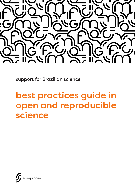

support for Brazilian science

# best practices guide in open and reproducible science

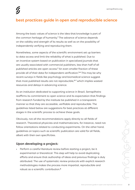# best practices guide in open and reproducible science

Among the basic values of science is the idea that knowledge is part of the common heritage of humanity.<sup>1</sup> The advance of science depends on the validity and strength of its results as well as on the possibility of independently verifying and reproducing them.

Nonetheless, some aspects of the scientific environment set up barriers to data access and limit the reliability of what is published. Due to an incentive system based on publication in specialized journals that are usually associated with commercial publishers, less than half of all published articles are open access.<sup>2</sup> An even smaller fraction of these provide all of their data for independent verification.3,4 This may be why recent surveys in fields like psychology and biomedical science suggest that most published results are not reproducible,<sup>5-7</sup> which implies wasted resources and delays in advancing science.

As an institution dedicated to supporting science in Brazil, Serrapilheira reaffirms its commitment to open science and its expectation that findings from research funded by the institute be published in a transparent manner so that they are accessible, verifiable and reproducible. The guidelines listed below are suggestions for best practices at different stages in the scientific process to achieve these goals.

Obviously, not all the recommendations apply directly to all fields of research. Theoretical physicists and mathematicians, for instance, need not follow orientations related to conducting experiments. On the other hand, guidelines on topics such as scientific publication are valid for all fields, albeit with their own specificities.

## Upon developing a project:

• Perform a careful literature review before starting a project, be it experimental or theoretical. This step will help to avoid duplicating efforts and ensure that authorship of ideas and previous findings is duly attributed. The use of systematic review protocols with explicit research methodologies makes the process more impartial, reproducible and robust as a scientific contribution.8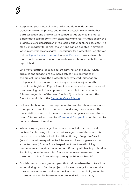- Registering your protocol before collecting data lends greater transparency to the process and makes it possible to verify whether data collection and analysis were carried out as planned in order to differentiate confirmatory from exploratory analyses.9,10 Additionally, this practice allows identification of registered but unpublished studies.11 This step is mandatory for clinical trials<sup>12,13</sup> and can be adopted in different ways in other fields of research. Repositories for protocol pre-registration include [Open Science Framework](https://help.osf.io/hc/en-us/articles/360019930893-Register-Your-Project) and [AsPredicted](https://aspredicted.org/). Protocols may be made publicly available upon registration or embargoed until the data is published.
- One way of getting feedback before carrying out the study—when critiques and suggestions are more likely to have an impact on the project—is to have the protocols peer-reviewed, either as an independent article or as a preliminary submission in journals that accept the Registered Report format, where the methods are reviewed, thus providing preliminary approval of the study if the protocol is followed, regardless of the result.<sup>14</sup> A list of journals that accept this format is available at the [Center for Open Science.](https://cos.io/rr/)
- Before collecting data, make a plan for statistical analysis that includes a sample size calculation. This avoids conducting experiments with low statistical power, which waste resources and generate less reliable results.15 Many online calculators [Power and Sample Size](http://powerandsamplesize.com/) can be used to carry out these calculations.
- When designing your project, remember to include measures and controls for obtaining robust conclusions regardless of the result. It is important to establish criteria for differentiating a "negative" result (in which a certain experimental intervention does not generate the expected result) from a flawed experiment due to methodological problems, to ensure that the latter be sufficiently reliable for publication. Publishing negative results is a fundamental measure to avoid the distortion of scientific knowledge through publication bias.<sup>16,17</sup>
- Establish a data management plan that defines where the data will be stored during and after the project. Include a strategy for copying the data to have a backup and to ensure long-term accessibility, regardless of researcher mobility between laboratories/institutions. Many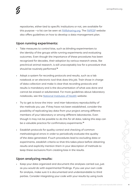repositories, either tied to specific institutions or not, are available for this purpose —a list can be seen at [FAIRsharing.org](https://fairsharing.org/databases/). The [FAPESP](http://www.fapesp.br/gestaodedados/#ferramentas) website also offers guidelines on how to develop a data management plan.

#### Upon running experiments:

- Take measures to control bias, such as blinding experimenters to the identity of the groups while running experiments and evaluating outcomes. Even though the importance of these procedures has been recognized for decades, their adoption by various research areas, like preclinical animal research, is still unacceptably low for a procedure that should be routinely performed.<sup>18</sup>
- Adopt a system for recording protocols and results, such as a lab notebook or an electronic tool that does this job. Train those in charge of data collection and make it clear that recording protocols and results is mandatory and is the documentation of what was done and cannot be erased or adulterated. For more guidelines about laboratory notebooks, see the [National Institutes of Health](https://www.training.nih.gov/assets/Lab_Notebook_508_%28new%29.pdf) website.
- Try to get to know the intra- and inter-laboratory reproducibility of the methods you use. If they have not been established, consider the possibility of replicating key data from your project among different members of your laboratory or among different laboratories. Even though it may not be possible to do this for all data, taking this step can be a valuable practice for confirmatory experiments.<sup>19</sup>
- Establish protocols for quality control and checking of common methodological errors in order to periodically evaluate the quality of the data generated. If such procedures lead to excluding data or experiments, establish criteria so that this takes place before obtaining results and explicitly mention them in your description of methods to keep these exclusions from creating bias in the results.

## Upon analyzing results:

Keep your data organized and document the analyses carried out, just as you would do with experimental findings. If you use your own code for analysis, make sure it is documented and understandable to third parties. Consider integrating your code with your results by using tools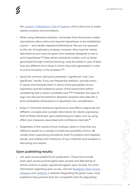like [Jupyter,](http://jupyter.org/) [R Markdown](https://rmarkdown.rstudio.com/), [knitr](https://yihui.name/knitr/) or [Sweave](https://rpubs.com/YaRrr/SweaveIntro), which allow one to easily repeat analyses and simulations.

- When using inferential statistics, remember that this process makes assumptions about data and requires hypotheses to be established a priori — and ideally registered beforehand. We are not opposed to the use of exploratory analyses; however, they must be clearly described as such and set apart from analyses designed to test a priori hypotheses.20 Data-driven statistical models, such as those generated through machine learning, must be tested in sets of data that are different from those in which they were generated in order to avoid circularity in the analyses.<sup>21,22</sup>
- Avoid the common dichotomy between "significant" and "nonsignificant" results. If you use frequentist statistics, provide exact P-values and interpret them in terms of the plausibility of your hypothesis and the statistical power of the experiment before considering that a result is probably true.23,24 If desired, this type of logic can also be formalized in Bayesian analyses that take the a priori probability attributed to a hypothesis into consideration.
- Keep in mind that statistical significance and effect magnitude are different concepts and consider alternatives for clearly expressing both of these attributes upon presenting your data, such as using effect size measures associated with confidence intervals.<sup>25</sup>
- Regardless of the results of your analyses, keep in mind that any inference based on a sample includes the possibility of error. Be candid when expressing uncertainty, both for positive and negative results, and address the limitations of your methods and analyses in discussing your results.

#### Upon publishing results:

• Use open access platforms for publication. These may include both open access journals (gold open access) and depositing of article versions in public repositories (green open access). For more information regarding open access, visit the [Budapest Open Access](https://www.budapestopenaccessinitiative.org/)  [Initiative](https://www.budapestopenaccessinitiative.org/) and [cOAlition S](https://www.scienceeurope.org/coalition-s/) websites Regarding the green route, most publishers have policies that are compatible with the depositing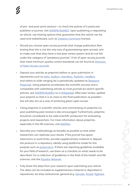of pre- and post-print versions— to check the polices of a particular publisher or journal, visit [SHERPA/RoMEO](http://www.sherpa.ac.uk/romeo/index.php). Upon publishing or depositing an article, use sharing options that guarantee that the article can be used and redistributed, such as [Creative Commons](https://creativecommons.org/licenses/) licenses.

- Should you choose open access journals that charge publication fees (noting that this is not the only way of guaranteeing open access), aim to make sure that they have a real peer review system and do not fall under the category of "predatory journals." A list of open access journals that meet minimum quality control standards can be found at [Directory](https://doaj.org/)  [of Open Access Journals.](https://doaj.org/)
- Deposit your articles as preprints before or upon submission in repositories such as [arXiv](https://arxiv.org/), [bioRxiv,](http://biorxiv.org/) [chemRxiv](https://chemrxiv.org/), [PsyArXiv](https://psyarxiv.com/), [medRxiv](https://medrxiv.org/) and others (a wide-ranging list is periodically updated at [Research](https://researchpreprints.com/preprintlist/)  [Preprints\)](https://researchpreprints.com/preprintlist/). Using preprints accelerates the scientific process and is compatible with submitting articles to most journals (to search specific policies, see [SHERPA/RoMEO](http://www.sherpa.ac.uk/romeo/index.php) ou a [Wikipedia](https://en.wikipedia.org/wiki/List_of_academic_journals_by_preprint_policy)). After peer review, update your preprint so that it is as close to the final publication as possible this will also act as a way of achieving green open access.
- Citing preprints in scientific articles and commenting on preprints (i.e. post-publishing peer review) is also encouraged. Furthermore, preprints should be considered to be valid scientific production for evaluating projects and researchers. For more information about preprints, especially in the life sciences, visit [ASAPbio.](http://asapbio.org/)
- Describe your methodology as broadly as possible so that other researchers can replicate your results. If the journal has space restrictions or word limits, provide supplementary material or deposit the protocol in a repository, ideally using platforms made for this purpose such as [protocols.io](http://protocols.io/). If there are reporting guidelines available for your field of research, use them as a checklist on what needs to be described. For a collection of guidelines in the field of the health and life sciences, visit the [Equator Network.](http://www.equator-network.org/)
- Fully share the data from your research upon submitting your article. The data can be included as supplementary material or deposited in repositories, be they institutional, general (e.g. [Zenodo](https://zenodo.org/), [Dryad,](http://datadryad.org/) [figshare,](https://figshare.com/)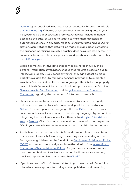[Dataverse\)](https://dataverse.org/) or specialized in nature. A list of repositories by area is available at [FAIRsharing.org.](https://fairsharing.org/databases/) If there is consensus about standardizing data in your field, you should adopt structured formats. Otherwise, include a manual describing the data, as well as metadata to make them accessible to automated searches. In any case, make sure that your data have a DOI for citation. Merely stating that data will be made available upon contacting the authors is insufficient, as such a practice does not quarantee access. 27,28 For more information about the principles of depositing scientific data, check the [FAIR principles](https://www.nature.com/articles/sdata201618).

- When it comes to sensitive data that cannot be shared in full, such as personal information of volunteers or data that requires protection due to intellectual property issues, consider whether they can at least be made partially available (e.g., by removing personal information to guarantee volunteers' anonymity) or after an embargo (e.g., after intellectual property is established). For more information about data privacy, see the Brazilian [General Law for Data Protection](http://www.planalto.gov.br/ccivil_03/_ato2015-2018/2018/lei/L13709.htm) and the [guidelines of the European](https://ec.europa.eu/research/participants/data/ref/h2020/grants_manual/hi/ethics/h2020_hi_ethics-data-protection_en.pdf)  [Commission](https://ec.europa.eu/research/participants/data/ref/h2020/grants_manual/hi/ethics/h2020_hi_ethics-data-protection_en.pdf) regarding the protection of data used in research.
- Should your research study use code developed by you or a third party, include it as supplementary information or deposit it in a repository like [GitHub.](https://github.com/) Prioritize open source languages like [R](https://www.r-project.org/) or [Python,](https://www.python.org/) but make your code available even if you work with a proprietary language. Again, consider integrating the code into your results with tools like [Jupyter,](http://jupyter.org/) [R Markdown,](https://rmarkdown.rstudio.com/) [knitr](https://yihui.name/knitr/) or [Sweave](https://rpubs.com/YaRrr/SweaveIntro). Cite third-party codes and databases with their respective DOIs in your research in order to recognize them as valid scientific outputs.
- Attribute authorship in a way that is fair and compatible with the criteria in your area of research. Even though these may vary depending on the field, general guidelines can be found at the [Comittee on Publication Ethics](https://publicationethics.org/authorship)  [\(COPE\),](https://publicationethics.org/authorship) and several areas and journals use the criteria of the [International](https://publicationethics.org/authorship)  [Committee of Medical Journal Editors](https://publicationethics.org/authorship). For greater clarity, we recommend that the contributions of each author be detailed in a separate section, ideally using standardized taxonomies like [CRedIT.](https://www.casrai.org/credit.html)
- If you have any conflict of interest related to your results—be it financial or otherwise—be transparent by stating it when publishing and presenting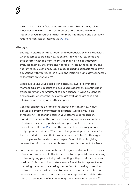results. Although conflicts of interest are inevitable at times, taking measures to minimize them contributes to the impartiality and integrity of your research findings. For more information and definitions regarding conflicts of interest, visit [COPE](https://publicationethics.org/competinginterests).

#### Always:

- Engage in discussions about open and reproducible science, especially when it comes to training new scientists. Provide your students and collaborators with the right incentives, making it clear that you will evaluate them by the effort and rigor they invest in the research, and not for the result obtained. Raise issues related to scientific reliability in discussions with your research group and institution, and stay connected to literature on this topic.<sup>29,30</sup>
- When evaluating your peers as an editor, reviewer or committee member, take into account the evaluated researcher's scientific rigor, transparency and commitment to open science. Always be skeptical and consider whether the results you are evaluating are solid and reliable before asking about their impact.
- Consider science as a practice that needs constant review. Value, discuss or perform confirmatory replication studies in your field of research.<sup>31</sup> Register and publish your attempts at replication, regardless of whether they are successful. Engage in the evaluation of published science by participating in post-publication peerreview forums like [PubPeer](https://pubpeer.com/), and the comment sections of journals and preprint repositories. When considering working as a reviewer for journals, prioritize those that make revisions available,<sup>32</sup> either signed or anonymous. Be courteous and respectful at all times by giving constructive criticism that contributes to the advancement of science.
- Likewise, be open to criticism from colleagues and do not see critiques of your data as personal attacks. Be open to the possibility of correcting and reanalyzing your data by collaborating with your critics whenever possible. If mistakes or inconsistencies are found, be transparent when admitting them and use existing mechanisms for making corrections and retractions in the literature. Remember that admitting mistakes honestly is not a blemish on the researcher's reputation, and that the ethical consequences of not correcting them are far more serious.<sup>33</sup>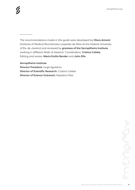*\_\_\_\_\_\_\_*

The recommendations made in this guide were developed by Olavo Amaral (Institute of Medical Biochemistry Leopoldo de Meis at the Federal University of Rio de Janeiro) and reviewed by grantees of the Serrapilheira Institute working in different fields of research. Coordination: Cristina Caldas. Editing and review: Maria Emilia Bender and John Ellis.

Serrapilheira Institute Director President: Hugo Aguilaniu Director of Scientific Research: Cristina Caldas Director of Science Outreach: Natasha Felizi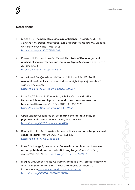#### References

- 1. Merton RK. The normative structure of Science. In: Merton, RK. *The Sociology of Science: Theoretical and Empirical Investigations*. Chicago, University of Chicago Press, 1942. <https://doi.org/10.2307/2576098>
- 2. Piwowar H, Priem J, Larivière V et al. The state of OA: a large-scale analysis of the prevalence and impact of Open Access articles. *PeerJ* 2018; 6: e4375. <https://doi.org/10.7717/peerj.4375>
- 3. Alsheikh-Ali AA, Qureshi W, Al-Mallah MH, Ioannidis JPA. Public availability of published research data in high-impact journals. *PLoS One* 2011; 6: e23457. <https://doi.org/10.1371/journal.pone.0024357>
- 4. Iqbal SA, Wallach JD, Khoury MJ, Schully SD, Ioannidis JPA. Reproducible research practices and transparency across the biomedical literature. *PLoS Biol* 2016; 14: e1002333 <https://doi.org/10.1371/journal.pbio.1002333>
- 5. Open Science Collaboration. Estimating the reproducibility of psychological science. *Science* 2015; 349: aac4716. <https://doi.org/10.1126/science.aac4716>
- 6. Begley CG, Ellis LM. Drug development: Raise standards for preclinical cancer research. *Nature* 2012; 483: 531–533. <https://doi.org/10.1038/483531a>
- 7. Prinz F, Schlange T, Asadullah K. Believe it or not: how much can we rely on published data on potential drug targets? *Nat Rev Drug Discov* 2012; 10: 712.<https://doi.org/10.1038/nrd3439-c1>
- 8. Higgins JPT, Green S (eds). *Cochrane Handbook for Systematic Reviews of Intervention*. Version 5.1.0. The Cochrane Collaboration, 2011. Disponível em <http://www.handbook.cochrane.org>. <https://doi.org/10.1002/9780470712184>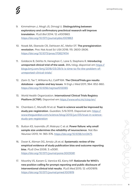- 9. Kimmelman J, Mogil JS, Dirnagl U, Distinguishing between exploratory and confirmatory preclinical research will improve translation. *PLoS Biol* 2014; 12: e1001863. [https://doi.org/10.1371/journal.pbio.1001863](https://journals.plos.org/plosbiology/article?id=10.1371/journal.pbio.1001863)
- 10. Nosek BA, Ebersole CR, DeHaven AC, Mellor DT. The preregistration revolution. *Proc Nat Acad Sci USA* 2018; 115: 2600-2606. <https://doi.org/10.1073/pnas.1708274114>
- 11. Goldacre B, DeVito N, Heneghan C, Lane S, Stephens R. Introducing unreported clinical trial of the week. *BMJ blog*, disponível em [https://](https://blogs.bmj.com/bmj/2018/03/29/it-is-time-to-fix-the-problem-of-unreported-clinical-trials/) [blogs.bmj.com/bmj/2018/03/29/it-is-time-to-fix-the-problem-of](https://blogs.bmj.com/bmj/2018/03/29/it-is-time-to-fix-the-problem-of-unreported-clinical-trials/)[unreported-clinical-trials/](https://blogs.bmj.com/bmj/2018/03/29/it-is-time-to-fix-the-problem-of-unreported-clinical-trials/)
- 12. Zarin D, Tse T, Williams RJ, Califf RM. The ClinicalTrials.gov results database – update and key issues. *N Engl J Med* 2011; 364: 852-860. <https://doi.org/10.1056/nejmsa1012065>
- 13. World Health Organization. International Clinical Trials Registry Platform (ICTRP). Disponível em<https://www.who.int/ictrp/en/>
- 14. Chambers C, Munafò M et al. Trust in science would be improved by study pre-registration. *Guardian*, 5/6/2013. Disponível em: [https://](https://www.theguardian.com/science/blog/2013/jun/05/trust-in-science-study-pre-registration) [www.theguardian.com/science/blog/2013/jun/05/trust-in-science](https://www.theguardian.com/science/blog/2013/jun/05/trust-in-science-study-pre-registration)[study-pre-registration](https://www.theguardian.com/science/blog/2013/jun/05/trust-in-science-study-pre-registration)
- 15. Button KS, Ioannidis JP, Mokrysz C et al. Power failure: why small sample size undermines the reliability of neuroscience. *Nat Rev Neurosci* 2013; 14: 365-376.<https://doi.org/10.1038/nrn3475>
- 16. Dwan K, Altman DG, Arnaiz JA et al. Systematic review of the empirical evidence of study publication bias and outcome reporting bias. *PLoS One* 2008; 3: e3081. <https://doi.org/10.1371/journal.pone.0003081>
- 17. Moorthy VS, Karam G, Vannice KS, Kieny MP. Rationale for WHO's new position calling for prompt reporting and public disclosure of interventional clinical trial results. *PLoS Med* 2015; 12: e1001819. <https://doi.org/10.1371/journal.pmed.1001819>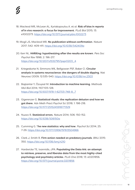- 18. Macleod MR, McLean AL, Kyriakopoulou A. et al. Risk of bias in reports of in vivo research: a focus for improvement. *PLoS Biol* 2015; 13: e1002273. <https://doi.org/10.1371/journal.pbio.1002273>
- 19. Mogil JS, Macleod MR. No publication without confirmation. *Nature* 2017; 542: 409-411. <https://doi.org/10.1038/542409a>
- 20. Kerr NL. HARKing: hypothesizing after the results are known. *Pers Soc Psychol Rev* 1998; 2: 196-217. [https://doi.org/10.1207/s15327957pspr0203\\_4](https://doi.org/10.1207/s15327957pspr0203_4)
- 21. Kriegeskorte N, Simmons WK, Bellgowan PSF, Baker Cl. Circular analysis in systems neuroscience: the dangers of double dipping. *Nat Neurosci* 2009; 12:535-540. <https://doi.org/10.1038/nn.2303>
- 22. Baştanlar Y, Özuysal M. Introduction to machine learning. *Methods Mol Biol* 2014; 1107:105-128. [https://doi.org/10.1007/978-1-62703-748-8\\_7](https://doi.org/10.1007/978-1-62703-748-8_7)
- 23. Gigerenzer G. Statistical rituals: the replication delusion and how we got there. *Adv Meth Pract Psychol Sci* 2018; 1: 198-218. <https://doi.org/10.1177/2515245918771329>
- 24. Nuzzo R. Statistical errors. *Nature* 2014; 506: 150-152. <https://doi.org/10.1038/506150a>
- 25. Cumming G. The new statistics: why and how. *Psychol Sci* 2014; 25: 7-29.<https://doi.org/10.1177/0956797613504966>
- 26. Clark J, Smith R. Firm action needed on predatory journals. *BMJ* 2015: 350. <https://doi.org/10.1136/bmj.h210>
- 27. Hardwicke TE, Ioannidis, JPA. Populating the Data Ark: an attempt to retrieve, preserve, and liberate data from the most highly-cited psychology and psychiatry articles. *PLoS One* 2018; 13: e0201856. <https://doi.org/10.1371/journal.pone.0201856>